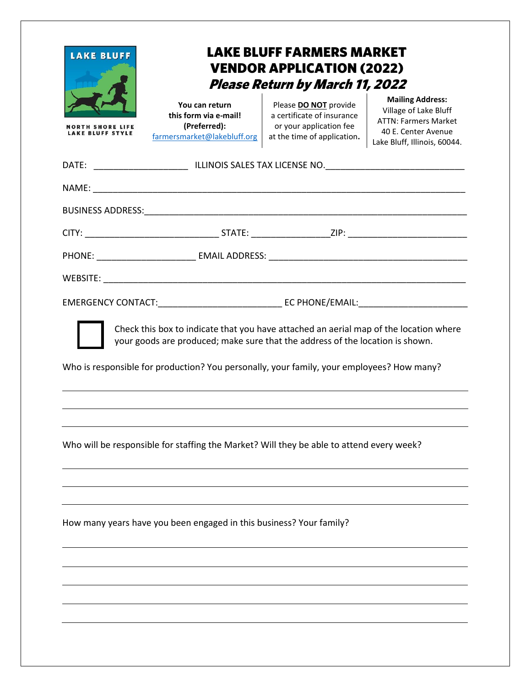| <b>LAKE BLUFF</b><br>RTH SHORE LIFE<br><b>E BLUFF STYLE</b> | <b>LAKE BLUFF FARMERS MARKET</b><br><b>VENDOR APPLICATION (2022)</b><br><b>Please Return by March 11, 2022</b> |  |  |
|-------------------------------------------------------------|----------------------------------------------------------------------------------------------------------------|--|--|
|                                                             |                                                                                                                |  |  |
|                                                             |                                                                                                                |  |  |
|                                                             |                                                                                                                |  |  |
|                                                             |                                                                                                                |  |  |
|                                                             |                                                                                                                |  |  |
|                                                             |                                                                                                                |  |  |
|                                                             |                                                                                                                |  |  |
|                                                             |                                                                                                                |  |  |
|                                                             | Who is responsible for production? You personally, your family, your employees? How many?                      |  |  |
|                                                             | Who will be responsible for staffing the Market? Will they be able to attend every week?                       |  |  |
|                                                             |                                                                                                                |  |  |
|                                                             |                                                                                                                |  |  |
|                                                             | How many years have you been engaged in this business? Your family?                                            |  |  |
|                                                             |                                                                                                                |  |  |
|                                                             |                                                                                                                |  |  |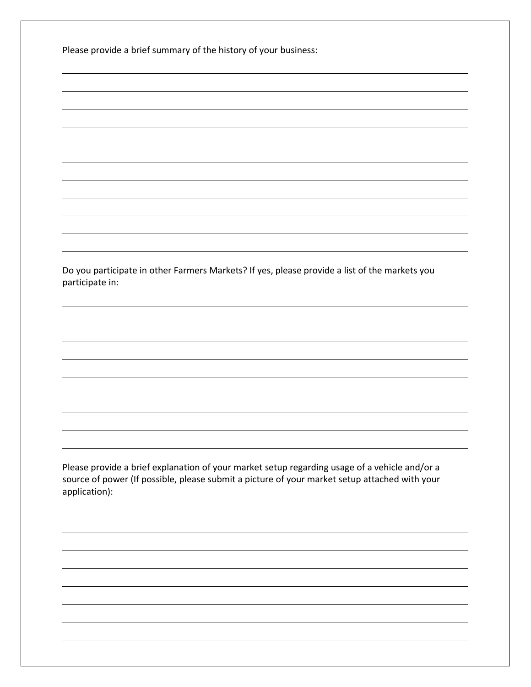Please provide a brief summary of the history of your business:

Do you participate in other Farmers Markets? If yes, please provide a list of the markets you participate in:

Please provide a brief explanation of your market setup regarding usage of a vehicle and/or a source of power (If possible, please submit a picture of your market setup attached with your application):